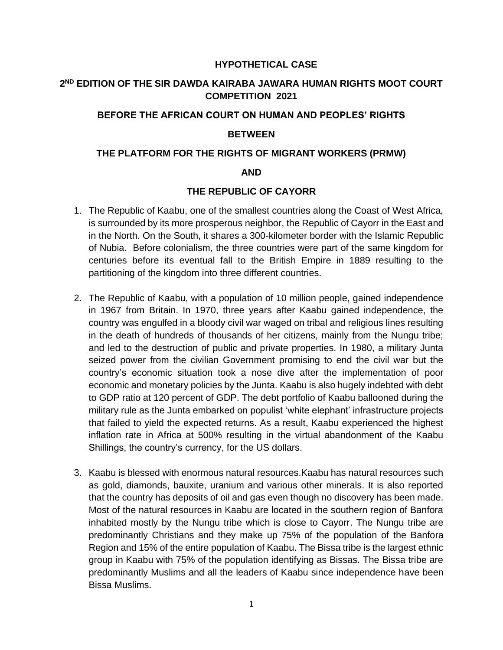# **HYPOTHETICAL CASE**

# **2 ND EDITION OF THE SIR DAWDA KAIRABA JAWARA HUMAN RIGHTS MOOT COURT COMPETITION 2021**

### **BEFORE THE AFRICAN COURT ON HUMAN AND PEOPLES' RIGHTS**

## **BETWEEN**

#### **THE PLATFORM FOR THE RIGHTS OF MIGRANT WORKERS (PRMW)**

#### **AND**

# **THE REPUBLIC OF CAYORR**

- 1. The Republic of Kaabu, one of the smallest countries along the Coast of West Africa, is surrounded by its more prosperous neighbor, the Republic of Cayorr in the East and in the North. On the South, it shares a 300-kilometer border with the Islamic Republic of Nubia. Before colonialism, the three countries were part of the same kingdom for centuries before its eventual fall to the British Empire in 1889 resulting to the partitioning of the kingdom into three different countries.
- 2. The Republic of Kaabu, with a population of 10 million people, gained independence in 1967 from Britain. In 1970, three years after Kaabu gained independence, the country was engulfed in a bloody civil war waged on tribal and religious lines resulting in the death of hundreds of thousands of her citizens, mainly from the Nungu tribe; and led to the destruction of public and private properties. In 1980, a military Junta seized power from the civilian Government promising to end the civil war but the country's economic situation took a nose dive after the implementation of poor economic and monetary policies by the Junta. Kaabu is also hugely indebted with debt to GDP ratio at 120 percent of GDP. The debt portfolio of Kaabu ballooned during the military rule as the Junta embarked on populist 'white elephant' infrastructure projects that failed to yield the expected returns. As a result, Kaabu experienced the highest inflation rate in Africa at 500% resulting in the virtual abandonment of the Kaabu Shillings, the country's currency, for the US dollars.
- 3. Kaabu is blessed with enormous natural resources.Kaabu has natural resources such as gold, diamonds, bauxite, uranium and various other minerals. It is also reported that the country has deposits of oil and gas even though no discovery has been made. Most of the natural resources in Kaabu are located in the southern region of Banfora inhabited mostly by the Nungu tribe which is close to Cayorr. The Nungu tribe are predominantly Christians and they make up 75% of the population of the Banfora Region and 15% of the entire population of Kaabu. The Bissa tribe is the largest ethnic group in Kaabu with 75% of the population identifying as Bissas. The Bissa tribe are predominantly Muslims and all the leaders of Kaabu since independence have been Bissa Muslims.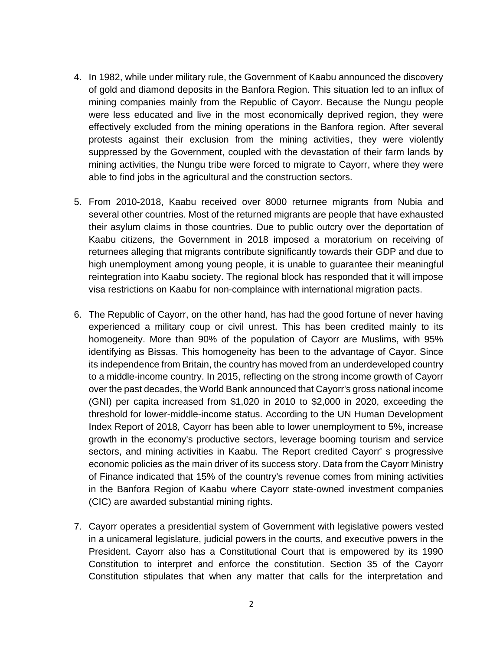- 4. In 1982, while under military rule, the Government of Kaabu announced the discovery of gold and diamond deposits in the Banfora Region. This situation led to an influx of mining companies mainly from the Republic of Cayorr. Because the Nungu people were less educated and live in the most economically deprived region, they were effectively excluded from the mining operations in the Banfora region. After several protests against their exclusion from the mining activities, they were violently suppressed by the Government, coupled with the devastation of their farm lands by mining activities, the Nungu tribe were forced to migrate to Cayorr, where they were able to find jobs in the agricultural and the construction sectors.
- 5. From 2010-2018, Kaabu received over 8000 returnee migrants from Nubia and several other countries. Most of the returned migrants are people that have exhausted their asylum claims in those countries. Due to public outcry over the deportation of Kaabu citizens, the Government in 2018 imposed a moratorium on receiving of returnees alleging that migrants contribute significantly towards their GDP and due to high unemployment among young people, it is unable to guarantee their meaningful reintegration into Kaabu society. The regional block has responded that it will impose visa restrictions on Kaabu for non-complaince with international migration pacts.
- 6. The Republic of Cayorr, on the other hand, has had the good fortune of never having experienced a military coup or civil unrest. This has been credited mainly to its homogeneity. More than 90% of the population of Cayorr are Muslims, with 95% identifying as Bissas. This homogeneity has been to the advantage of Cayor. Since its independence from Britain, the country has moved from an underdeveloped country to a middle-income country. In 2015, reflecting on the strong income growth of Cayorr over the past decades, the World Bank announced that Cayorr's gross national income (GNI) per capita increased from \$1,020 in 2010 to \$2,000 in 2020, exceeding the threshold for lower-middle-income status. According to the UN Human Development Index Report of 2018, Cayorr has been able to lower unemployment to 5%, increase growth in the economy's productive sectors, leverage booming tourism and service sectors, and mining activities in Kaabu. The Report credited Cayorr' s progressive economic policies as the main driver of its success story. Data from the Cayorr Ministry of Finance indicated that 15% of the country's revenue comes from mining activities in the Banfora Region of Kaabu where Cayorr state-owned investment companies (CIC) are awarded substantial mining rights.
- 7. Cayorr operates a presidential system of Government with legislative powers vested in a unicameral legislature, judicial powers in the courts, and executive powers in the President. Cayorr also has a Constitutional Court that is empowered by its 1990 Constitution to interpret and enforce the constitution. Section 35 of the Cayorr Constitution stipulates that when any matter that calls for the interpretation and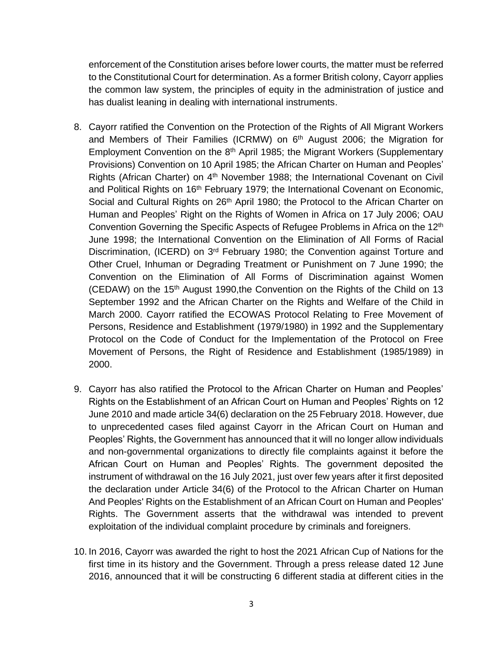enforcement of the Constitution arises before lower courts, the matter must be referred to the Constitutional Court for determination. As a former British colony, Cayorr applies the common law system, the principles of equity in the administration of justice and has dualist leaning in dealing with international instruments.

- 8. Cayorr ratified the Convention on the Protection of the Rights of All Migrant Workers and Members of Their Families (ICRMW) on  $6<sup>th</sup>$  August 2006; the Migration for Employment Convention on the  $8<sup>th</sup>$  April 1985; the Migrant Workers (Supplementary Provisions) Convention on 10 April 1985; the African Charter on Human and Peoples' Rights (African Charter) on 4<sup>th</sup> November 1988; the International Covenant on Civil and Political Rights on 16<sup>th</sup> February 1979; the International Covenant on Economic, Social and Cultural Rights on 26<sup>th</sup> April 1980; the Protocol to the African Charter on Human and Peoples' Right on the Rights of Women in Africa on 17 July 2006; OAU Convention Governing the Specific Aspects of Refugee Problems in Africa on the 12<sup>th</sup> June 1998; the International Convention on the Elimination of All Forms of Racial Discrimination, (ICERD) on 3rd February 1980; the Convention against Torture and Other Cruel, Inhuman or Degrading Treatment or Punishment on 7 June 1990; the Convention on the Elimination of All Forms of Discrimination against Women (CEDAW) on the 15th August 1990,the Convention on the Rights of the Child on 13 September 1992 and the African Charter on the Rights and Welfare of the Child in March 2000. Cayorr ratified the ECOWAS Protocol Relating to Free Movement of Persons, Residence and Establishment (1979/1980) in 1992 and the Supplementary Protocol on the Code of Conduct for the Implementation of the Protocol on Free Movement of Persons, the Right of Residence and Establishment (1985/1989) in 2000.
- 9. Cayorr has also ratified the Protocol to the African Charter on Human and Peoples' Rights on the Establishment of an African Court on Human and Peoples' Rights on 12 June 2010 and made article 34(6) declaration on the 25 February 2018. However, due to unprecedented cases filed against Cayorr in the African Court on Human and Peoples' Rights, the Government has announced that it will no longer allow individuals and non-governmental organizations to directly file complaints against it before the African Court on Human and Peoples' Rights. The government deposited the instrument of withdrawal on the 16 July 2021, just over few years after it first deposited the declaration under Article 34(6) of the Protocol to the African Charter on Human And Peoples' Rights on the Establishment of an African Court on Human and Peoples' Rights. The Government asserts that the withdrawal was intended to prevent exploitation of the individual complaint procedure by criminals and foreigners.
- 10. In 2016, Cayorr was awarded the right to host the 2021 African Cup of Nations for the first time in its history and the Government. Through a press release dated 12 June 2016, announced that it will be constructing 6 different stadia at different cities in the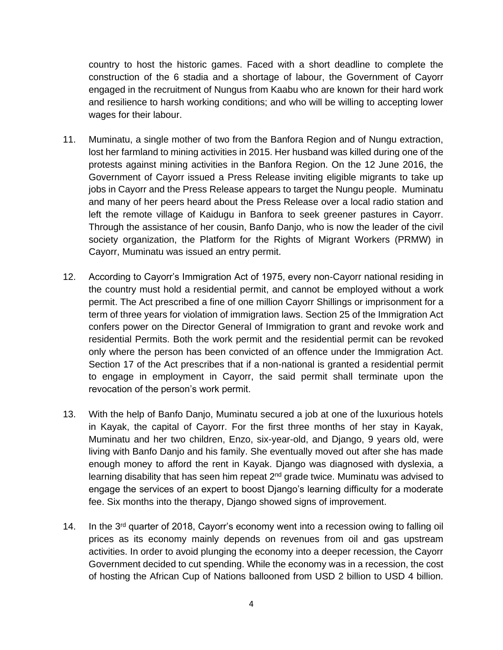country to host the historic games. Faced with a short deadline to complete the construction of the 6 stadia and a shortage of labour, the Government of Cayorr engaged in the recruitment of Nungus from Kaabu who are known for their hard work and resilience to harsh working conditions; and who will be willing to accepting lower wages for their labour.

- 11. Muminatu, a single mother of two from the Banfora Region and of Nungu extraction, lost her farmland to mining activities in 2015. Her husband was killed during one of the protests against mining activities in the Banfora Region. On the 12 June 2016, the Government of Cayorr issued a Press Release inviting eligible migrants to take up jobs in Cayorr and the Press Release appears to target the Nungu people. Muminatu and many of her peers heard about the Press Release over a local radio station and left the remote village of Kaidugu in Banfora to seek greener pastures in Cayorr. Through the assistance of her cousin, Banfo Danjo, who is now the leader of the civil society organization, the Platform for the Rights of Migrant Workers (PRMW) in Cayorr, Muminatu was issued an entry permit.
- 12. According to Cayorr's Immigration Act of 1975, every non-Cayorr national residing in the country must hold a residential permit, and cannot be employed without a work permit. The Act prescribed a fine of one million Cayorr Shillings or imprisonment for a term of three years for violation of immigration laws. Section 25 of the Immigration Act confers power on the Director General of Immigration to grant and revoke work and residential Permits. Both the work permit and the residential permit can be revoked only where the person has been convicted of an offence under the Immigration Act. Section 17 of the Act prescribes that if a non-national is granted a residential permit to engage in employment in Cayorr, the said permit shall terminate upon the revocation of the person's work permit.
- 13. With the help of Banfo Danjo, Muminatu secured a job at one of the luxurious hotels in Kayak, the capital of Cayorr. For the first three months of her stay in Kayak, Muminatu and her two children, Enzo, six-year-old, and Django, 9 years old, were living with Banfo Danjo and his family. She eventually moved out after she has made enough money to afford the rent in Kayak. Django was diagnosed with dyslexia, a learning disability that has seen him repeat 2<sup>nd</sup> grade twice. Muminatu was advised to engage the services of an expert to boost Django's learning difficulty for a moderate fee. Six months into the therapy, Django showed signs of improvement.
- 14. In the 3<sup>rd</sup> quarter of 2018, Cayorr's economy went into a recession owing to falling oil prices as its economy mainly depends on revenues from oil and gas upstream activities. In order to avoid plunging the economy into a deeper recession, the Cayorr Government decided to cut spending. While the economy was in a recession, the cost of hosting the African Cup of Nations ballooned from USD 2 billion to USD 4 billion.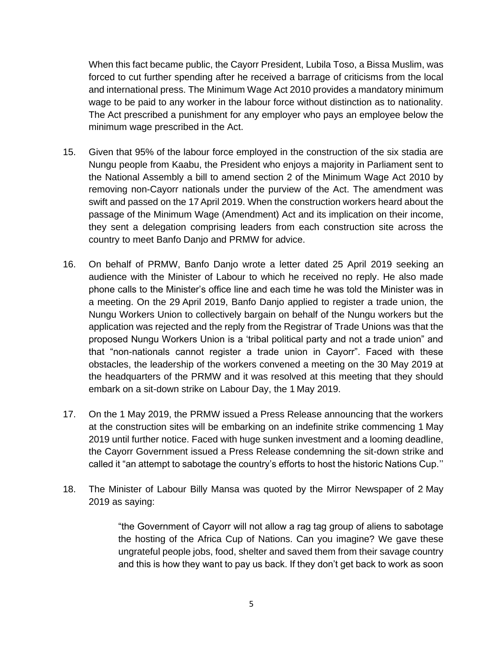When this fact became public, the Cayorr President, Lubila Toso, a Bissa Muslim, was forced to cut further spending after he received a barrage of criticisms from the local and international press. The Minimum Wage Act 2010 provides a mandatory minimum wage to be paid to any worker in the labour force without distinction as to nationality. The Act prescribed a punishment for any employer who pays an employee below the minimum wage prescribed in the Act.

- 15. Given that 95% of the labour force employed in the construction of the six stadia are Nungu people from Kaabu, the President who enjoys a majority in Parliament sent to the National Assembly a bill to amend section 2 of the Minimum Wage Act 2010 by removing non-Cayorr nationals under the purview of the Act. The amendment was swift and passed on the 17April 2019. When the construction workers heard about the passage of the Minimum Wage (Amendment) Act and its implication on their income, they sent a delegation comprising leaders from each construction site across the country to meet Banfo Danjo and PRMW for advice.
- 16. On behalf of PRMW, Banfo Danjo wrote a letter dated 25 April 2019 seeking an audience with the Minister of Labour to which he received no reply. He also made phone calls to the Minister's office line and each time he was told the Minister was in a meeting. On the 29 April 2019, Banfo Danjo applied to register a trade union, the Nungu Workers Union to collectively bargain on behalf of the Nungu workers but the application was rejected and the reply from the Registrar of Trade Unions was that the proposed Nungu Workers Union is a 'tribal political party and not a trade union" and that "non-nationals cannot register a trade union in Cayorr". Faced with these obstacles, the leadership of the workers convened a meeting on the 30 May 2019 at the headquarters of the PRMW and it was resolved at this meeting that they should embark on a sit-down strike on Labour Day, the 1 May 2019.
- 17. On the 1 May 2019, the PRMW issued a Press Release announcing that the workers at the construction sites will be embarking on an indefinite strike commencing 1 May 2019 until further notice. Faced with huge sunken investment and a looming deadline, the Cayorr Government issued a Press Release condemning the sit-down strike and called it "an attempt to sabotage the country's efforts to host the historic Nations Cup.''
- 18. The Minister of Labour Billy Mansa was quoted by the Mirror Newspaper of 2 May 2019 as saying:

"the Government of Cayorr will not allow a rag tag group of aliens to sabotage the hosting of the Africa Cup of Nations. Can you imagine? We gave these ungrateful people jobs, food, shelter and saved them from their savage country and this is how they want to pay us back. If they don't get back to work as soon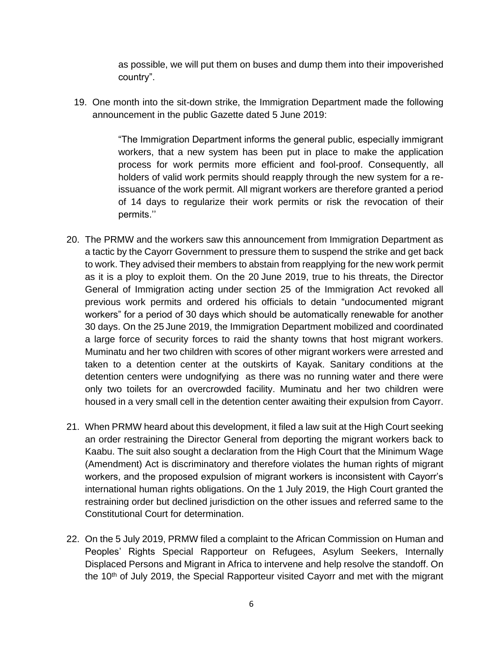as possible, we will put them on buses and dump them into their impoverished country".

19. One month into the sit-down strike, the Immigration Department made the following announcement in the public Gazette dated 5 June 2019:

> "The Immigration Department informs the general public, especially immigrant workers, that a new system has been put in place to make the application process for work permits more efficient and fool-proof. Consequently, all holders of valid work permits should reapply through the new system for a reissuance of the work permit. All migrant workers are therefore granted a period of 14 days to regularize their work permits or risk the revocation of their permits.''

- 20. The PRMW and the workers saw this announcement from Immigration Department as a tactic by the Cayorr Government to pressure them to suspend the strike and get back to work. They advised their members to abstain from reapplying for the new work permit as it is a ploy to exploit them. On the 20 June 2019, true to his threats, the Director General of Immigration acting under section 25 of the Immigration Act revoked all previous work permits and ordered his officials to detain "undocumented migrant workers" for a period of 30 days which should be automatically renewable for another 30 days. On the 25 June 2019, the Immigration Department mobilized and coordinated a large force of security forces to raid the shanty towns that host migrant workers. Muminatu and her two children with scores of other migrant workers were arrested and taken to a detention center at the outskirts of Kayak. Sanitary conditions at the detention centers were undognifying as there was no running water and there were only two toilets for an overcrowded facility. Muminatu and her two children were housed in a very small cell in the detention center awaiting their expulsion from Cayorr.
- 21. When PRMW heard about this development, it filed a law suit at the High Court seeking an order restraining the Director General from deporting the migrant workers back to Kaabu. The suit also sought a declaration from the High Court that the Minimum Wage (Amendment) Act is discriminatory and therefore violates the human rights of migrant workers, and the proposed expulsion of migrant workers is inconsistent with Cayorr's international human rights obligations. On the 1 July 2019, the High Court granted the restraining order but declined jurisdiction on the other issues and referred same to the Constitutional Court for determination.
- 22. On the 5 July 2019, PRMW filed a complaint to the African Commission on Human and Peoples' Rights Special Rapporteur on Refugees, Asylum Seekers, Internally Displaced Persons and Migrant in Africa to intervene and help resolve the standoff. On the 10<sup>th</sup> of July 2019, the Special Rapporteur visited Cayorr and met with the migrant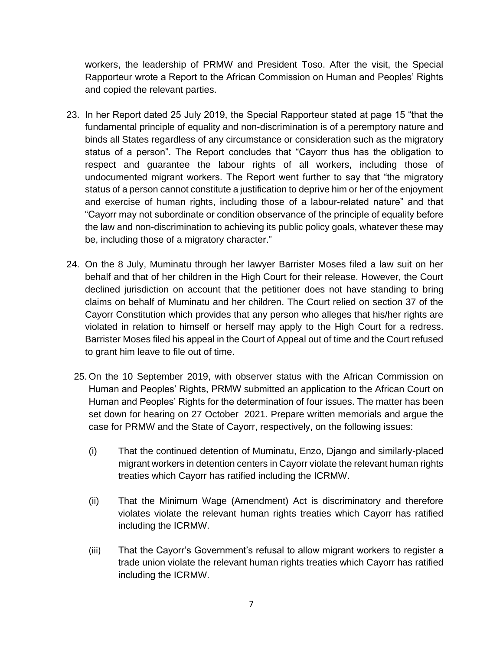workers, the leadership of PRMW and President Toso. After the visit, the Special Rapporteur wrote a Report to the African Commission on Human and Peoples' Rights and copied the relevant parties.

- 23. In her Report dated 25 July 2019, the Special Rapporteur stated at page 15 "that the fundamental principle of equality and non-discrimination is of a peremptory nature and binds all States regardless of any circumstance or consideration such as the migratory status of a person". The Report concludes that "Cayorr thus has the obligation to respect and guarantee the labour rights of all workers, including those of undocumented migrant workers. The Report went further to say that "the migratory status of a person cannot constitute a justification to deprive him or her of the enjoyment and exercise of human rights, including those of a labour-related nature" and that "Cayorr may not subordinate or condition observance of the principle of equality before the law and non-discrimination to achieving its public policy goals, whatever these may be, including those of a migratory character."
- 24. On the 8 July, Muminatu through her lawyer Barrister Moses filed a law suit on her behalf and that of her children in the High Court for their release. However, the Court declined jurisdiction on account that the petitioner does not have standing to bring claims on behalf of Muminatu and her children. The Court relied on section 37 of the Cayorr Constitution which provides that any person who alleges that his/her rights are violated in relation to himself or herself may apply to the High Court for a redress. Barrister Moses filed his appeal in the Court of Appeal out of time and the Court refused to grant him leave to file out of time.
	- 25. On the 10 September 2019, with observer status with the African Commission on Human and Peoples' Rights, PRMW submitted an application to the African Court on Human and Peoples' Rights for the determination of four issues. The matter has been set down for hearing on 27 October 2021. Prepare written memorials and argue the case for PRMW and the State of Cayorr, respectively, on the following issues:
		- (i) That the continued detention of Muminatu, Enzo, Django and similarly-placed migrant workers in detention centers in Cayorr violate the relevant human rights treaties which Cayorr has ratified including the ICRMW.
		- (ii) That the Minimum Wage (Amendment) Act is discriminatory and therefore violates violate the relevant human rights treaties which Cayorr has ratified including the ICRMW.
		- (iii) That the Cayorr's Government's refusal to allow migrant workers to register a trade union violate the relevant human rights treaties which Cayorr has ratified including the ICRMW.